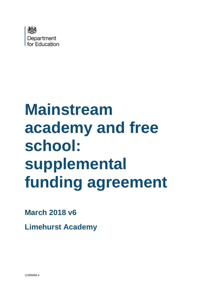

# **Mainstream academy and free school: supplemental funding agreement**

# **March 2018 v6**

**Limehurst Academy**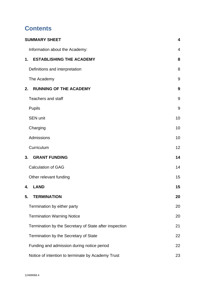# **Contents**

| <b>SUMMARY SHEET</b>                                   | $\overline{\mathbf{4}}$ |
|--------------------------------------------------------|-------------------------|
| Information about the Academy:                         | 4                       |
| <b>ESTABLISHING THE ACADEMY</b><br>1.                  | 8                       |
| Definitions and interpretation                         | 8                       |
| The Academy                                            | 9                       |
| <b>RUNNING OF THE ACADEMY</b><br>2.                    | 9                       |
| <b>Teachers and staff</b>                              | 9                       |
| <b>Pupils</b>                                          | 9                       |
| <b>SEN unit</b>                                        | 10                      |
| Charging                                               | 10                      |
| Admissions                                             | 10                      |
| Curriculum                                             | 12                      |
| <b>GRANT FUNDING</b><br>3.                             | 14                      |
| <b>Calculation of GAG</b>                              | 14                      |
| Other relevant funding                                 | 15                      |
| <b>LAND</b><br>4.                                      | 15                      |
| 5.<br><b>TERMINATION</b>                               | 20                      |
| Termination by either party                            | 20                      |
| <b>Termination Warning Notice</b>                      | 20                      |
| Termination by the Secretary of State after inspection | 21                      |
| Termination by the Secretary of State                  | 22                      |
| Funding and admission during notice period             | 22                      |
| Notice of intention to terminate by Academy Trust      | 23                      |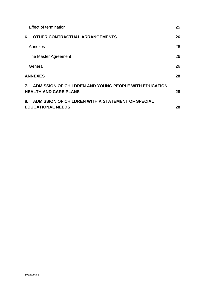| Effect of termination                                                                     | 25 |
|-------------------------------------------------------------------------------------------|----|
| OTHER CONTRACTUAL ARRANGEMENTS<br>6.                                                      | 26 |
| Annexes                                                                                   | 26 |
| The Master Agreement                                                                      | 26 |
| General                                                                                   | 26 |
| <b>ANNEXES</b>                                                                            | 28 |
| 7. ADMISSION OF CHILDREN AND YOUNG PEOPLE WITH EDUCATION,<br><b>HEALTH AND CARE PLANS</b> | 28 |
| ADMISSION OF CHILDREN WITH A STATEMENT OF SPECIAL<br>8.<br><b>EDUCATIONAL NEEDS</b>       | 28 |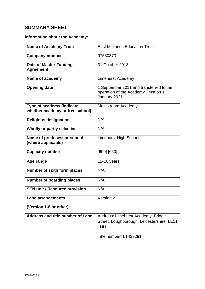# <span id="page-3-0"></span>**SUMMARY SHEET**

# <span id="page-3-1"></span>**Information about the Academy:**

| <b>Name of Academy Trust</b>                                 | <b>East Midlands Education Trust</b>                                                           |
|--------------------------------------------------------------|------------------------------------------------------------------------------------------------|
| <b>Company number</b>                                        | 07530373                                                                                       |
| <b>Date of Master Funding</b><br><b>Agreement</b>            | 31 October 2018                                                                                |
| Name of academy                                              | <b>Limehurst Academy</b>                                                                       |
| <b>Opening date</b>                                          | 1 September 2011 and transferred to the<br>operation of the Academy Trust on 1<br>January 2021 |
| Type of academy (indicate<br>whether academy or free school) | Mainstream Academy                                                                             |
| <b>Religious designation</b>                                 | N/A                                                                                            |
| Wholly or partly selective                                   | N/A                                                                                            |
| Name of predecessor school<br>(where applicable)             | <b>Limehurst High School</b>                                                                   |
| <b>Capacity number</b>                                       | [600] [650]                                                                                    |
| Age range                                                    | 11-16 years                                                                                    |
| <b>Number of sixth form places</b>                           | N/A                                                                                            |
| <b>Number of boarding places</b>                             | N/A                                                                                            |
| <b>SEN unit / Resource provision</b>                         | N/A                                                                                            |
| <b>Land arrangements</b>                                     | Version 2                                                                                      |
| (Version 1-8 or other)                                       |                                                                                                |
| Address and title number of Land                             | Address: Limehurst Academy, Bridge<br>Street, Loughborough, Leicestershire, LE11<br>1NH        |
|                                                              | Title number: LT439291                                                                         |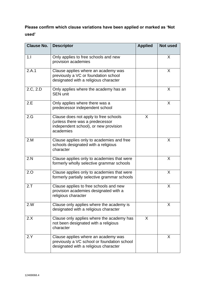# **Please confirm which clause variations have been applied or marked as 'Not used'**

| <b>Clause No.</b> | <b>Descriptor</b>                                                                                                              | <b>Applied</b> | Not used |
|-------------------|--------------------------------------------------------------------------------------------------------------------------------|----------------|----------|
| 1.1               | Only applies to free schools and new<br>provision academies                                                                    |                | X        |
| 2.A.1             | Clause applies where an academy was<br>previously a VC or foundation school<br>designated with a religious character           |                | X        |
| 2.C, 2.D          | Only applies where the academy has an<br><b>SEN unit</b>                                                                       |                | X        |
| 2.E               | Only applies where there was a<br>predecessor independent school                                                               |                | X        |
| 2.G               | Clause does not apply to free schools<br>(unless there was a predecessor<br>independent school), or new provision<br>academies | X              |          |
| 2.M               | Clause applies only to academies and free<br>schools designated with a religious<br>character                                  |                | X        |
| 2.N               | Clause applies only to academies that were<br>formerly wholly selective grammar schools                                        |                | X        |
| 2.0               | Clause applies only to academies that were<br>formerly partially selective grammar schools                                     |                | X        |
| 2.7               | Clause applies to free schools and new<br>provision academies designated with a<br>religious character                         |                | X        |
| 2.W               | Clause only applies where the academy is<br>designated with a religious character                                              |                | X        |
| 2.X               | Clause only applies where the academy has<br>not been designated with a religious<br>character                                 | X              |          |
| 2.Y               | Clause applies where an academy was<br>previously a VC school or foundation school<br>designated with a religious character    |                | X        |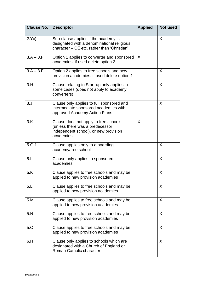| <b>Clause No.</b> | <b>Descriptor</b>                                                                                                                 | <b>Applied</b> | <b>Not used</b> |
|-------------------|-----------------------------------------------------------------------------------------------------------------------------------|----------------|-----------------|
| 2.Yc)             | Sub-clause applies if the academy is<br>designated with a denominational religious<br>character - CE etc. rather than 'Christian' |                | X               |
| $3.A - 3.F$       | Option 1 applies to converter and sponsored<br>academies: if used delete option 2                                                 | $\mathsf{X}$   |                 |
| $3.A - 3.F$       | Option 2 applies to free schools and new<br>provision academies: if used delete option 1                                          |                | X               |
| 3.H               | Clause relating to Start-up only applies in<br>some cases (does not apply to academy<br>converters)                               |                | X               |
| 3. J              | Clause only applies to full sponsored and<br>intermediate sponsored academies with<br>approved Academy Action Plans               |                | X               |
| 3.K               | Clause does not apply to free schools<br>(unless there was a predecessor<br>independent school), or new provision<br>academies    | X              |                 |
| 5.G.1             | Clause applies only to a boarding<br>academy/free school.                                                                         |                | X               |
| 5.1               | Clause only applies to sponsored<br>academies                                                                                     |                | X               |
| 5.K               | Clause applies to free schools and may be<br>applied to new provision academies                                                   |                | X               |
| 5.L               | Clause applies to free schools and may be<br>applied to new provision academies                                                   |                | X               |
| 5.M               | Clause applies to free schools and may be<br>applied to new provision academies                                                   |                | X               |
| 5.N               | Clause applies to free schools and may be<br>applied to new provision academies                                                   |                | X               |
| 5.0               | Clause applies to free schools and may be<br>applied to new provision academies                                                   |                | X               |
| 6.H               | Clause only applies to schools which are<br>designated with a Church of England or<br>Roman Catholic character                    |                | X               |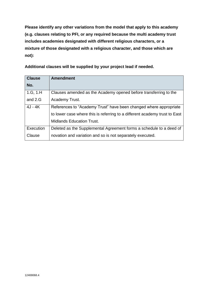**Please identify any other variations from the model that apply to this academy (e.g. clauses relating to PFI, or any required because the multi academy trust includes academies designated with different religious characters, or a mixture of those designated with a religious character, and those which are not):**

**Additional clauses will be supplied by your project lead if needed.**

| <b>Clause</b> | <b>Amendment</b>                                                           |
|---------------|----------------------------------------------------------------------------|
| No.           |                                                                            |
| 1.G, 1.H      | Clauses amended as the Academy opened before transferring to the           |
| and 2.G       | Academy Trust.                                                             |
| 4J - 4K       | References to "Academy Trust" have been changed where appropriate          |
|               | to lower case where this is referring to a different academy trust to East |
|               | <b>Midlands Education Trust.</b>                                           |
| Execution     | Deleted as the Supplemental Agreement forms a schedule to a deed of        |
| Clause        | novation and variation and so is not separately executed.                  |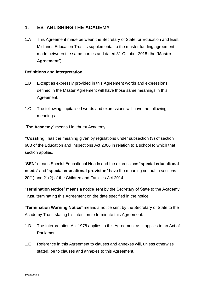# <span id="page-7-0"></span>**1. ESTABLISHING THE ACADEMY**

1.A This Agreement made between the Secretary of State for Education and East Midlands Education Trust is supplemental to the master funding agreement made between the same parties and dated 31 October 2018 (the "**Master Agreement**").

# <span id="page-7-1"></span>**Definitions and interpretation**

- 1.B Except as expressly provided in this Agreement words and expressions defined in the Master Agreement will have those same meanings in this Agreement.
- 1.C The following capitalised words and expressions will have the following meanings:

"The **Academy**" means Limehurst Academy.

**"Coasting"** has the meaning given by regulations under subsection (3) of section 60B of the Education and Inspections Act 2006 in relation to a school to which that section applies.

"**SEN**" means Special Educational Needs and the expressions "**special educational needs**" and "**special educational provision**" have the meaning set out in sections 20(1) and 21(2) of the Children and Families Act 2014.

"**Termination Notice**" means a notice sent by the Secretary of State to the Academy Trust, terminating this Agreement on the date specified in the notice.

"**Termination Warning Notice**" means a notice sent by the Secretary of State to the Academy Trust, stating his intention to terminate this Agreement.

- 1.D The Interpretation Act 1978 applies to this Agreement as it applies to an Act of Parliament.
- 1.E Reference in this Agreement to clauses and annexes will, unless otherwise stated, be to clauses and annexes to this Agreement.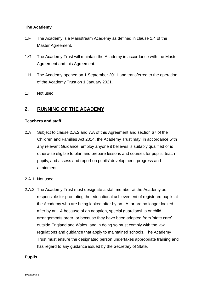# <span id="page-8-0"></span>**The Academy**

- 1.F The Academy is a Mainstream Academy as defined in clause 1.4 of the Master Agreement.
- 1.G The Academy Trust will maintain the Academy in accordance with the Master Agreement and this Agreement.
- 1.H The Academy opened on 1 September 2011 and transferred to the operation of the Academy Trust on 1 January 2021.
- 1.I Not used.

# <span id="page-8-1"></span>**2. RUNNING OF THE ACADEMY**

# <span id="page-8-2"></span>**Teachers and staff**

- 2.A Subject to clause 2.A.2 and 7.A of this Agreement and section 67 of the Children and Families Act 2014, the Academy Trust may, in accordance with any relevant Guidance, employ anyone it believes is suitably qualified or is otherwise eligible to plan and prepare lessons and courses for pupils, teach pupils, and assess and report on pupils' development, progress and attainment.
- 2.A.1 Not used.
- 2.A.2 The Academy Trust must designate a staff member at the Academy as responsible for promoting the educational achievement of registered pupils at the Academy who are being looked after by an LA, or are no longer looked after by an LA because of an adoption, special guardianship or child arrangements order, or because they have been adopted from 'state care' outside England and Wales, and in doing so must comply with the law, regulations and guidance that apply to maintained schools. The Academy Trust must ensure the designated person undertakes appropriate training and has regard to any guidance issued by the Secretary of State.

# <span id="page-8-3"></span>**Pupils**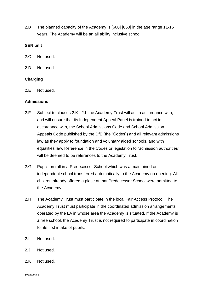2.B The planned capacity of the Academy is [600] [650] in the age range 11-16 years. The Academy will be an all ability inclusive school.

# <span id="page-9-0"></span>**SEN unit**

- 2.C Not used.
- 2.D Not used.

# <span id="page-9-1"></span>**Charging**

2.E Not used.

# <span id="page-9-2"></span>**Admissions**

- 2.F Subject to clauses 2.K– 2.L the Academy Trust will act in accordance with, and will ensure that its Independent Appeal Panel is trained to act in accordance with, the School Admissions Code and School Admission Appeals Code published by the DfE (the "Codes") and all relevant admissions law as they apply to foundation and voluntary aided schools, and with equalities law. Reference in the Codes or legislation to "admission authorities" will be deemed to be references to the Academy Trust.
- 2.G Pupils on roll in a Predecessor School which was a maintained or independent school transferred automatically to the Academy on opening. All children already offered a place at that Predecessor School were admitted to the Academy.
- 2.H The Academy Trust must participate in the local Fair Access Protocol. The Academy Trust must participate in the coordinated admission arrangements operated by the LA in whose area the Academy is situated. If the Academy is a free school, the Academy Trust is not required to participate in coordination for its first intake of pupils.
- 2.I Not used.
- 2.J Not used.
- 2.K Not used.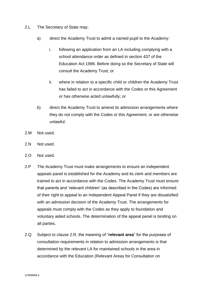- 2.L The Secretary of State may:
	- a) direct the Academy Trust to admit a named pupil to the Academy:
		- i. following an application from an LA including complying with a school attendance order as defined in section 437 of the Education Act 1996. Before doing so the Secretary of State will consult the Academy Trust; or
		- ii. where in relation to a specific child or children the Academy Trust has failed to act in accordance with the Codes or this Agreement or has otherwise acted unlawfully; or
	- b) direct the Academy Trust to amend its admission arrangements where they do not comply with the Codes or this Agreement, or are otherwise unlawful.
- 2.M Not used.
- 2.N Not used.
- 2.O Not used.
- 2.P The Academy Trust must make arrangements to ensure an independent appeals panel is established for the Academy and its clerk and members are trained to act in accordance with the Codes. The Academy Trust must ensure that parents and 'relevant children' (as described in the Codes) are informed of their right to appeal to an Independent Appeal Panel if they are dissatisfied with an admission decision of the Academy Trust. The arrangements for appeals must comply with the Codes as they apply to foundation and voluntary aided schools. The determination of the appeal panel is binding on all parties.
- 2.Q Subject to clause 2.R, the meaning of "**relevant area**" for the purposes of consultation requirements in relation to admission arrangements is that determined by the relevant LA for maintained schools in the area in accordance with the Education (Relevant Areas for Consultation on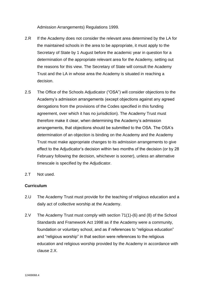Admission Arrangements) Regulations 1999.

- 2.R If the Academy does not consider the relevant area determined by the LA for the maintained schools in the area to be appropriate, it must apply to the Secretary of State by 1 August before the academic year in question for a determination of the appropriate relevant area for the Academy, setting out the reasons for this view. The Secretary of State will consult the Academy Trust and the LA in whose area the Academy is situated in reaching a decision.
- 2.S The Office of the Schools Adjudicator ("OSA") will consider objections to the Academy's admission arrangements (except objections against any agreed derogations from the provisions of the Codes specified in this funding agreement, over which it has no jurisdiction). The Academy Trust must therefore make it clear, when determining the Academy's admission arrangements, that objections should be submitted to the OSA. The OSA's determination of an objection is binding on the Academy and the Academy Trust must make appropriate changes to its admission arrangements to give effect to the Adjudicator's decision within two months of the decision (or by 28 February following the decision, whichever is sooner), unless an alternative timescale is specified by the Adjudicator.
- 2.T Not used.

# <span id="page-11-0"></span>**Curriculum**

- 2.U The Academy Trust must provide for the teaching of religious education and a daily act of collective worship at the Academy.
- 2.V The Academy Trust must comply with section 71(1)-(6) and (8) of the School Standards and Framework Act 1998 as if the Academy were a community, foundation or voluntary school, and as if references to "religious education" and "religious worship" in that section were references to the religious education and religious worship provided by the Academy in accordance with clause 2.X.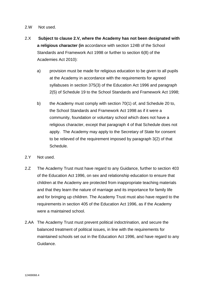- 2.W Not used.
- 2.X **Subject to clause 2.V, where the Academy has not been designated with a religious character (in** accordance with section 124B of the School Standards and Framework Act 1998 or further to section 6(8) of the Academies Act 2010):
	- a) provision must be made for religious education to be given to all pupils at the Academy in accordance with the requirements for agreed syllabuses in section 375(3) of the Education Act 1996 and paragraph 2(5) of Schedule 19 to the School Standards and Framework Act 1998;
	- b) the Academy must comply with section 70(1) of, and Schedule 20 to, the School Standards and Framework Act 1998 as if it were a community, foundation or voluntary school which does not have a religious character, except that paragraph 4 of that Schedule does not apply. The Academy may apply to the Secretary of State for consent to be relieved of the requirement imposed by paragraph 3(2) of that Schedule.
- 2.Y Not used.
- 2.Z The Academy Trust must have regard to any Guidance, further to section 403 of the Education Act 1996, on sex and relationship education to ensure that children at the Academy are protected from inappropriate teaching materials and that they learn the nature of marriage and its importance for family life and for bringing up children. The Academy Trust must also have regard to the requirements in section 405 of the Education Act 1996, as if the Academy were a maintained school.
- 2.AA The Academy Trust must prevent political indoctrination, and secure the balanced treatment of political issues, in line with the requirements for maintained schools set out in the Education Act 1996, and have regard to any Guidance.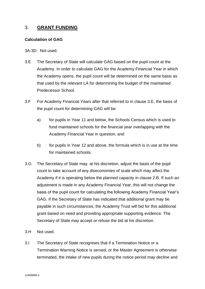# <span id="page-13-0"></span>3. **GRANT FUNDING**

#### <span id="page-13-1"></span>**Calculation of GAG**

3A-3D. Not used.

- 3.E The Secretary of State will calculate GAG based on the pupil count at the Academy. In order to calculate GAG for the Academy Financial Year in which the Academy opens, the pupil count will be determined on the same basis as that used by the relevant LA for determining the budget of the maintained Predecessor School.
- 3.F For Academy Financial Years after that referred to in clause 3.E, the basis of the pupil count for determining GAG will be:
	- a) for pupils in Year 11 and below, the Schools Census which is used to fund maintained schools for the financial year overlapping with the Academy Financial Year in question; and
	- b) for pupils in Year 12 and above, the formula which is in use at the time for maintained schools.
- 3.G The Secretary of State may, at his discretion, adjust the basis of the pupil count to take account of any diseconomies of scale which may affect the Academy if it is operating below the planned capacity in clause 2.B. If such an adjustment is made in any Academy Financial Year, this will not change the basis of the pupil count for calculating the following Academy Financial Year's GAG. If the Secretary of State has indicated that additional grant may be payable in such circumstances, the Academy Trust will bid for this additional grant based on need and providing appropriate supporting evidence. The Secretary of State may accept or refuse the bid at his discretion.
- 3.H Not used.
- 3.I The Secretary of State recognises that if a Termination Notice or a Termination Warning Notice is served, or the Master Agreement is otherwise terminated, the intake of new pupils during the notice period may decline and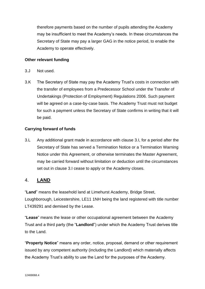therefore payments based on the number of pupils attending the Academy may be insufficient to meet the Academy's needs. In these circumstances the Secretary of State may pay a larger GAG in the notice period, to enable the Academy to operate effectively.

# <span id="page-14-0"></span>**Other relevant funding**

- 3.J Not used.
- 3.K The Secretary of State may pay the Academy Trust's costs in connection with the transfer of employees from a Predecessor School under the Transfer of Undertakings (Protection of Employment) Regulations 2006. Such payment will be agreed on a case-by-case basis. The Academy Trust must not budget for such a payment unless the Secretary of State confirms in writing that it will be paid.

# **Carrying forward of funds**

3.L Any additional grant made in accordance with clause 3.I, for a period after the Secretary of State has served a Termination Notice or a Termination Warning Notice under this Agreement, or otherwise terminates the Master Agreement, may be carried forward without limitation or deduction until the circumstances set out in clause 3.I cease to apply or the Academy closes.

# <span id="page-14-1"></span>4. **LAND**

"**Land**" means the leasehold land at Limehurst Academy, Bridge Street, Loughborough, Leicestershire, LE11 1NH being the land registered with title number LT439291 and demised by the Lease.

"**Lease**" means the lease or other occupational agreement between the Academy Trust and a third party (the "**Landlord**") under which the Academy Trust derives title to the Land.

"**Property Notice**" means any order, notice, proposal, demand or other requirement issued by any competent authority (including the Landlord) which materially affects the Academy Trust's ability to use the Land for the purposes of the Academy.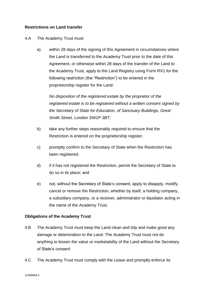# **Restrictions on Land transfer**

# 4.A The Academy Trust must:

a) within 28 days of the signing of this Agreement in circumstances where the Land is transferred to the Academy Trust prior to the date of this Agreement, or otherwise within 28 days of the transfer of the Land to the Academy Trust, apply to the Land Registry using Form RX1 for the following restriction (the "Restriction") to be entered in the proprietorship register for the Land:

*No disposition of the registered estate by the proprietor of the registered estate is to be registered without a written consent signed by the Secretary of State for Education, of Sanctuary Buildings, Great Smith Street, London SW1P 3BT;*

- b) take any further steps reasonably required to ensure that the Restriction is entered on the proprietorship register;
- c) promptly confirm to the Secretary of State when the Restriction has been registered;
- d) if it has not registered the Restriction, permit the Secretary of State to do so in its place; and
- e) not, without the Secretary of State's consent, apply to disapply, modify, cancel or remove the Restriction, whether by itself, a holding company, a subsidiary company, or a receiver, administrator or liquidator acting in the name of the Academy Trust.

# **Obligations of the Academy Trust**

- 4.B The Academy Trust must keep the Land clean and tidy and make good any damage or deterioration to the Land. The Academy Trust must not do anything to lessen the value or marketability of the Land without the Secretary of State's consent.
- 4.C The Academy Trust must comply with the Lease and promptly enforce its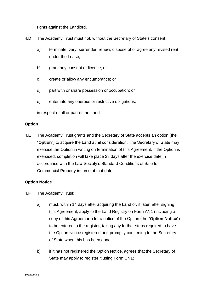rights against the Landlord.

- 4.D The Academy Trust must not, without the Secretary of State's consent:
	- a) terminate, vary, surrender, renew, dispose of or agree any revised rent under the Lease;
	- b) grant any consent or licence; or
	- c) create or allow any encumbrance; or
	- d) part with or share possession or occupation; or
	- e) enter into any onerous or restrictive obligations,

in respect of all or part of the Land.

#### **Option**

4.E The Academy Trust grants and the Secretary of State accepts an option (the "**Option**") to acquire the Land at nil consideration. The Secretary of State may exercise the Option in writing on termination of this Agreement. If the Option is exercised, completion will take place 28 days after the exercise date in accordance with the Law Society's Standard Conditions of Sale for Commercial Property in force at that date.

# **Option Notice**

- 4.F The Academy Trust:
	- a) must, within 14 days after acquiring the Land or, if later, after signing this Agreement, apply to the Land Registry on Form AN1 (including a copy of this Agreement) for a notice of the Option (the "**Option Notice**") to be entered in the register, taking any further steps required to have the Option Notice registered and promptly confirming to the Secretary of State when this has been done;
	- b) if it has not registered the Option Notice, agrees that the Secretary of State may apply to register it using Form UN1;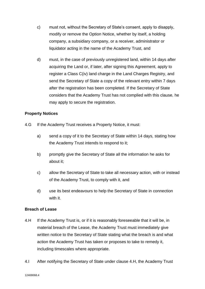- c) must not, without the Secretary of State's consent, apply to disapply, modify or remove the Option Notice, whether by itself, a holding company, a subsidiary company, or a receiver, administrator or liquidator acting in the name of the Academy Trust, and
- d) must, in the case of previously unregistered land, within 14 days after acquiring the Land or, if later, after signing this Agreement, apply to register a Class C(iv) land charge in the Land Charges Registry, and send the Secretary of State a copy of the relevant entry within 7 days after the registration has been completed. If the Secretary of State considers that the Academy Trust has not complied with this clause, he may apply to secure the registration.

# **Property Notices**

- 4.G If the Academy Trust receives a Property Notice, it must:
	- a) send a copy of it to the Secretary of State within 14 days, stating how the Academy Trust intends to respond to it;
	- b) promptly give the Secretary of State all the information he asks for about it;
	- c) allow the Secretary of State to take all necessary action, with or instead of the Academy Trust, to comply with it, and
	- d) use its best endeavours to help the Secretary of State in connection with it.

# **Breach of Lease**

- 4.H If the Academy Trust is, or if it is reasonably foreseeable that it will be, in material breach of the Lease, the Academy Trust must immediately give written notice to the Secretary of State stating what the breach is and what action the Academy Trust has taken or proposes to take to remedy it, including timescales where appropriate.
- 4.I After notifying the Secretary of State under clause 4.H, the Academy Trust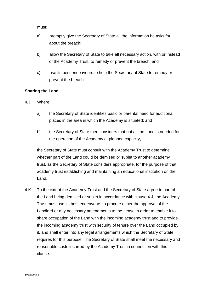must:

- a) promptly give the Secretary of State all the information he asks for about the breach;
- b) allow the Secretary of State to take all necessary action, with or instead of the Academy Trust, to remedy or prevent the breach, and
- c) use its best endeavours to help the Secretary of State to remedy or prevent the breach.

# **Sharing the Land**

- 4.J Where:
	- a) the Secretary of State identifies basic or parental need for additional places in the area in which the Academy is situated; and
	- b) the Secretary of State then considers that not all the Land is needed for the operation of the Academy at planned capacity,

the Secretary of State must consult with the Academy Trust to determine whether part of the Land could be demised or sublet to another academy trust, as the Secretary of State considers appropriate, for the purpose of that academy trust establishing and maintaining an educational institution on the Land.

4.K To the extent the Academy Trust and the Secretary of State agree to part of the Land being demised or sublet in accordance with clause 4.J, the Academy Trust must use its best endeavours to procure either the approval of the Landlord or any necessary amendments to the Lease in order to enable it to share occupation of the Land with the incoming academy trust and to provide the incoming academy trust with security of tenure over the Land occupied by it, and shall enter into any legal arrangements which the Secretary of State requires for this purpose. The Secretary of State shall meet the necessary and reasonable costs incurred by the Academy Trust in connection with this clause.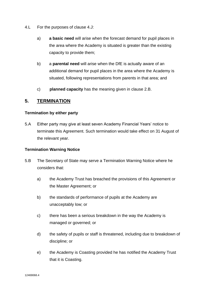- 4.L For the purposes of clause 4.J:
	- a) **a basic need** will arise when the forecast demand for pupil places in the area where the Academy is situated is greater than the existing capacity to provide them;
	- b) a **parental need** will arise when the DfE is actually aware of an additional demand for pupil places in the area where the Academy is situated, following representations from parents in that area; and
	- c) **planned capacity** has the meaning given in clause 2.B.

# <span id="page-19-0"></span>**5. TERMINATION**

# <span id="page-19-1"></span>**Termination by either party**

5.A Either party may give at least seven Academy Financial Years' notice to terminate this Agreement. Such termination would take effect on 31 August of the relevant year.

# <span id="page-19-2"></span>**Termination Warning Notice**

- 5.B The Secretary of State may serve a Termination Warning Notice where he considers that:
	- a) the Academy Trust has breached the provisions of this Agreement or the Master Agreement; or
	- b) the standards of performance of pupils at the Academy are unacceptably low; or
	- c) there has been a serious breakdown in the way the Academy is managed or governed; or
	- d) the safety of pupils or staff is threatened, including due to breakdown of discipline; or
	- e) the Academy is Coasting provided he has notified the Academy Trust that it is Coasting.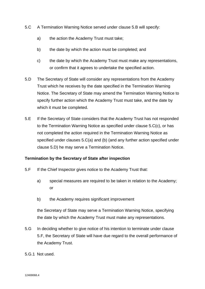- 5.C A Termination Warning Notice served under clause 5.B will specify:
	- a) the action the Academy Trust must take;
	- b) the date by which the action must be completed; and
	- c) the date by which the Academy Trust must make any representations, or confirm that it agrees to undertake the specified action.
- 5.D The Secretary of State will consider any representations from the Academy Trust which he receives by the date specified in the Termination Warning Notice. The Secretary of State may amend the Termination Warning Notice to specify further action which the Academy Trust must take, and the date by which it must be completed.
- 5.E If the Secretary of State considers that the Academy Trust has not responded to the Termination Warning Notice as specified under clause 5.C(c), or has not completed the action required in the Termination Warning Notice as specified under clauses 5.C(a) and (b) (and any further action specified under clause 5.D) he may serve a Termination Notice.

# <span id="page-20-0"></span>**Termination by the Secretary of State after inspection**

- 5.F If the Chief Inspector gives notice to the Academy Trust that:
	- a) special measures are required to be taken in relation to the Academy; or
	- b) the Academy requires significant improvement

the Secretary of State may serve a Termination Warning Notice, specifying the date by which the Academy Trust must make any representations.

- 5.G In deciding whether to give notice of his intention to terminate under clause 5.F, the Secretary of State will have due regard to the overall performance of the Academy Trust.
- 5.G.1 Not used.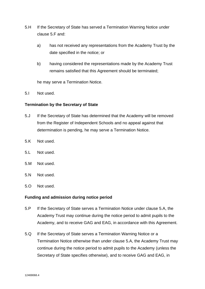- 5.H If the Secretary of State has served a Termination Warning Notice under clause 5.F and:
	- a) has not received any representations from the Academy Trust by the date specified in the notice; or
	- b) having considered the representations made by the Academy Trust remains satisfied that this Agreement should be terminated;

he may serve a Termination Notice.

5.I Not used.

# <span id="page-21-0"></span>**Termination by the Secretary of State**

- 5.J If the Secretary of State has determined that the Academy will be removed from the Register of Independent Schools and no appeal against that determination is pending, he may serve a Termination Notice.
- 5.K Not used.
- 5.L Not used.
- 5.M Not used.
- 5.N Not used.
- 5.O Not used.

#### <span id="page-21-1"></span>**Funding and admission during notice period**

- 5.P If the Secretary of State serves a Termination Notice under clause 5.A, the Academy Trust may continue during the notice period to admit pupils to the Academy, and to receive GAG and EAG, in accordance with this Agreement.
- 5.Q If the Secretary of State serves a Termination Warning Notice or a Termination Notice otherwise than under clause 5.A, the Academy Trust may continue during the notice period to admit pupils to the Academy (unless the Secretary of State specifies otherwise), and to receive GAG and EAG, in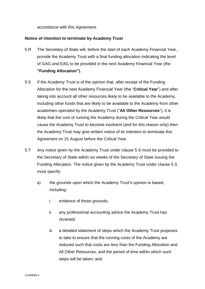accordance with this Agreement.

# <span id="page-22-0"></span>**Notice of intention to terminate by Academy Trust**

- 5.R The Secretary of State will, before the start of each Academy Financial Year, provide the Academy Trust with a final funding allocation indicating the level of GAG and EAG to be provided in the next Academy Financial Year (the **"Funding Allocation").**
- 5.S If the Academy Trust is of the opinion that, after receipt of the Funding Allocation for the next Academy Financial Year (the "**Critical Year**") and after taking into account all other resources likely to be available to the Academy, including other funds that are likely to be available to the Academy from other academies operated by the Academy Trust ("**All Other Resources**"), it is likely that the cost of running the Academy during the Critical Year would cause the Academy Trust to become insolvent (and for this reason only) then the Academy Trust may give written notice of its intention to terminate this Agreement on 31 August before the Critical Year.
- 5.T Any notice given by the Academy Trust under clause 5.S must be provided to the Secretary of State within six weeks of the Secretary of State issuing the Funding Allocation. The notice given by the Academy Trust under clause 5.S must specify:
	- a) the grounds upon which the Academy Trust's opinion is based, including:
		- i. evidence of those grounds;
		- ii. any professional accounting advice the Academy Trust has received;
		- iii. a detailed statement of steps which the Academy Trust proposes to take to ensure that the running costs of the Academy are reduced such that costs are less than the Funding Allocation and All Other Resources, and the period of time within which such steps will be taken; and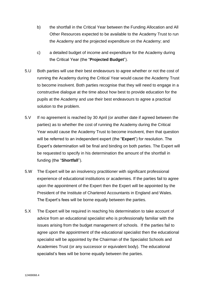- b) the shortfall in the Critical Year between the Funding Allocation and All Other Resources expected to be available to the Academy Trust to run the Academy and the projected expenditure on the Academy; and
- c) a detailed budget of income and expenditure for the Academy during the Critical Year (the "**Projected Budget**").
- 5.U Both parties will use their best endeavours to agree whether or not the cost of running the Academy during the Critical Year would cause the Academy Trust to become insolvent. Both parties recognise that they will need to engage in a constructive dialogue at the time about how best to provide education for the pupils at the Academy and use their best endeavours to agree a practical solution to the problem.
- 5.V If no agreement is reached by 30 April (or another date if agreed between the parties) as to whether the cost of running the Academy during the Critical Year would cause the Academy Trust to become insolvent, then that question will be referred to an independent expert (the "**Expert**") for resolution. The Expert's determination will be final and binding on both parties. The Expert will be requested to specify in his determination the amount of the shortfall in funding (the "**Shortfall**").
- 5.W The Expert will be an insolvency practitioner with significant professional experience of educational institutions or academies. If the parties fail to agree upon the appointment of the Expert then the Expert will be appointed by the President of the Institute of Chartered Accountants in England and Wales. The Expert's fees will be borne equally between the parties.
- 5.X The Expert will be required in reaching his determination to take account of advice from an educational specialist who is professionally familiar with the issues arising from the budget management of schools. If the parties fail to agree upon the appointment of the educational specialist then the educational specialist will be appointed by the Chairman of the Specialist Schools and Academies Trust (or any successor or equivalent body). The educational specialist's fees will be borne equally between the parties.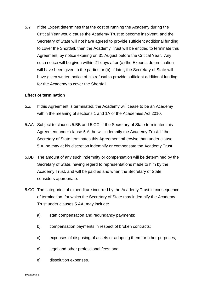5.Y If the Expert determines that the cost of running the Academy during the Critical Year would cause the Academy Trust to become insolvent, and the Secretary of State will not have agreed to provide sufficient additional funding to cover the Shortfall, then the Academy Trust will be entitled to terminate this Agreement, by notice expiring on 31 August before the Critical Year. Any such notice will be given within 21 days after (a) the Expert's determination will have been given to the parties or (b), if later, the Secretary of State will have given written notice of his refusal to provide sufficient additional funding for the Academy to cover the Shortfall.

#### <span id="page-24-0"></span>**Effect of termination**

- 5.Z If this Agreement is terminated, the Academy will cease to be an Academy within the meaning of sections 1 and 1A of the Academies Act 2010.
- 5.AA Subject to clauses 5.BB and 5.CC, if the Secretary of State terminates this Agreement under clause 5.A, he will indemnify the Academy Trust. If the Secretary of State terminates this Agreement otherwise than under clause 5.A, he may at his discretion indemnify or compensate the Academy Trust.
- 5.BB The amount of any such indemnity or compensation will be determined by the Secretary of State, having regard to representations made to him by the Academy Trust, and will be paid as and when the Secretary of State considers appropriate.
- 5.CC The categories of expenditure incurred by the Academy Trust in consequence of termination, for which the Secretary of State may indemnify the Academy Trust under clauses 5.AA, may include:
	- a) staff compensation and redundancy payments;
	- b) compensation payments in respect of broken contracts;
	- c) expenses of disposing of assets or adapting them for other purposes;
	- d) legal and other professional fees; and
	- e) dissolution expenses.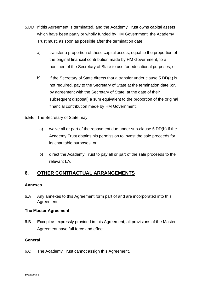- 5.DD If this Agreement is terminated, and the Academy Trust owns capital assets which have been partly or wholly funded by HM Government, the Academy Trust must, as soon as possible after the termination date:
	- a) transfer a proportion of those capital assets, equal to the proportion of the original financial contribution made by HM Government, to a nominee of the Secretary of State to use for educational purposes; or
	- b) if the Secretary of State directs that a transfer under clause 5.DD(a) is not required, pay to the Secretary of State at the termination date (or, by agreement with the Secretary of State, at the date of their subsequent disposal) a sum equivalent to the proportion of the original financial contribution made by HM Government.
- 5.EE The Secretary of State may:
	- a) waive all or part of the repayment due under sub-clause 5.DD(b) if the Academy Trust obtains his permission to invest the sale proceeds for its charitable purposes; or
	- b) direct the Academy Trust to pay all or part of the sale proceeds to the relevant LA.

# <span id="page-25-0"></span>**6. OTHER CONTRACTUAL ARRANGEMENTS**

# <span id="page-25-1"></span>**Annexes**

6.A Any annexes to this Agreement form part of and are incorporated into this Agreement.

# <span id="page-25-2"></span>**The Master Agreement**

6.B Except as expressly provided in this Agreement, all provisions of the Master Agreement have full force and effect.

# <span id="page-25-3"></span>**General**

6.C The Academy Trust cannot assign this Agreement.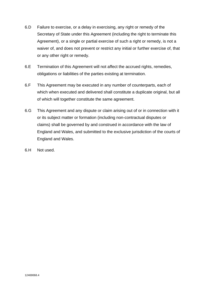- 6.D Failure to exercise, or a delay in exercising, any right or remedy of the Secretary of State under this Agreement (including the right to terminate this Agreement), or a single or partial exercise of such a right or remedy, is not a waiver of, and does not prevent or restrict any initial or further exercise of, that or any other right or remedy.
- 6.E Termination of this Agreement will not affect the accrued rights, remedies, obligations or liabilities of the parties existing at termination.
- 6.F This Agreement may be executed in any number of counterparts, each of which when executed and delivered shall constitute a duplicate original, but all of which will together constitute the same agreement.
- 6.G This Agreement and any dispute or claim arising out of or in connection with it or its subject matter or formation (including non-contractual disputes or claims) shall be governed by and construed in accordance with the law of England and Wales, and submitted to the exclusive jurisdiction of the courts of England and Wales.
- 6.H Not used.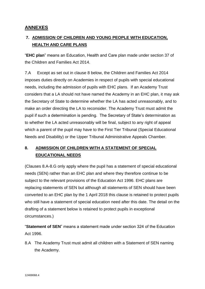# <span id="page-27-0"></span>**ANNEXES**

# <span id="page-27-1"></span>**7. ADMISSION OF CHILDREN AND YOUNG PEOPLE WITH EDUCATION, HEALTH AND CARE PLANS**

"**EHC plan**" means an Education, Health and Care plan made under section 37 of the Children and Families Act 2014.

7.A Except as set out in clause 8 below, the Children and Families Act 2014 imposes duties directly on Academies in respect of pupils with special educational needs, including the admission of pupils with EHC plans. If an Academy Trust considers that a LA should not have named the Academy in an EHC plan, it may ask the Secretary of State to determine whether the LA has acted unreasonably, and to make an order directing the LA to reconsider. The Academy Trust must admit the pupil if such a determination is pending. The Secretary of State's determination as to whether the LA acted unreasonably will be final, subject to any right of appeal which a parent of the pupil may have to the First Tier Tribunal (Special Educational Needs and Disability) or the Upper Tribunal Administrative Appeals Chamber.

# <span id="page-27-2"></span>**8. ADMISSION OF CHILDREN WITH A STATEMENT OF SPECIAL EDUCATIONAL NEEDS**

(Clauses 8.A-8.G only apply where the pupil has a statement of special educational needs (SEN) rather than an EHC plan and where they therefore continue to be subject to the relevant provisions of the Education Act 1996. EHC plans are replacing statements of SEN but although all statements of SEN should have been converted to an EHC plan by the 1 April 2018 this clause is retained to protect pupils who still have a statement of special education need after this date. The detail on the drafting of a statement below is retained to protect pupils in exceptional circumstances.)

"**Statement of SEN**" means a statement made under section 324 of the Education Act 1996.

8.A The Academy Trust must admit all children with a Statement of SEN naming the Academy.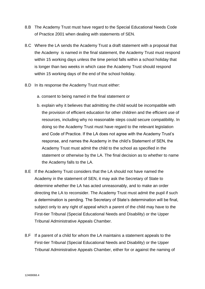- 8.B The Academy Trust must have regard to the Special Educational Needs Code of Practice 2001 when dealing with statements of SEN.
- 8.C Where the LA sends the Academy Trust a draft statement with a proposal that the Academy is named in the final statement, the Academy Trust must respond within 15 working days unless the time period falls within a school holiday that is longer than two weeks in which case the Academy Trust should respond within 15 working days of the end of the school holiday.
- 8.D In its response the Academy Trust must either:
	- a. consent to being named in the final statement or
	- b. explain why it believes that admitting the child would be incompatible with the provision of efficient education for other children and the efficient use of resources, including why no reasonable steps could secure compatibility. In doing so the Academy Trust must have regard to the relevant legislation and Code of Practice. If the LA does not agree with the Academy Trust's response, and names the Academy in the child's Statement of SEN, the Academy Trust must admit the child to the school as specified in the statement or otherwise by the LA. The final decision as to whether to name the Academy falls to the LA.
- 8.E If the Academy Trust considers that the LA should not have named the Academy in the statement of SEN, it may ask the Secretary of State to determine whether the LA has acted unreasonably, and to make an order directing the LA to reconsider. The Academy Trust must admit the pupil if such a determination is pending. The Secretary of State's determination will be final, subject only to any right of appeal which a parent of the child may have to the First-tier Tribunal (Special Educational Needs and Disability) or the Upper Tribunal Administrative Appeals Chamber.
- 8.F If a parent of a child for whom the LA maintains a statement appeals to the First-tier Tribunal (Special Educational Needs and Disability) or the Upper Tribunal Administrative Appeals Chamber, either for or against the naming of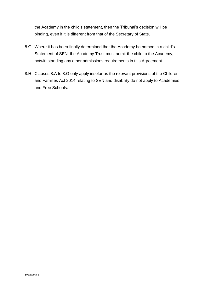the Academy in the child's statement, then the Tribunal's decision will be binding, even if it is different from that of the Secretary of State.

- 8.G Where it has been finally determined that the Academy be named in a child's Statement of SEN, the Academy Trust must admit the child to the Academy, notwithstanding any other admissions requirements in this Agreement.
- 8.H Clauses 8.A to 8.G only apply insofar as the relevant provisions of the Children and Families Act 2014 relating to SEN and disability do not apply to Academies and Free Schools.